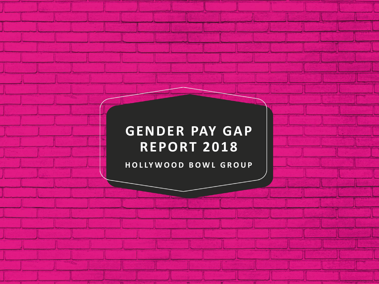# **GENDER PAY GAP REPORT 2018**

**H O L LY W O O D B O W L G R O U P**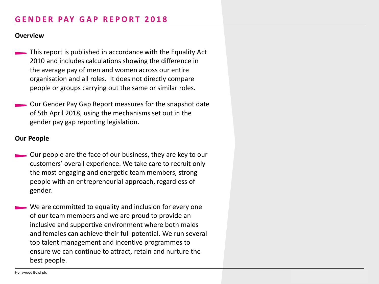## **G E N D E R PAY G A P R E P O R T 2 0 1 8**

#### **Overview**

- **This report is published in accordance with the Equality Act** 2010 and includes calculations showing the difference in the average pay of men and women across our entire organisation and all roles. It does not directly compare people or groups carrying out the same or similar roles.
- Our Gender Pay Gap Report measures for the snapshot date of 5th April 2018, using the mechanisms set out in the gender pay gap reporting legislation .

#### **Our People**

- Our people are the face of our business, they are key to our customers' overall experience. We take care to recruit only the most engaging and energetic team members, strong people with an entrepreneurial approach, regardless of gender.
	- We are committed to equality and inclusion for every one of our team members and we are proud to provide an inclusive and supportive environment where both males and females can achieve their full potential. We run several top talent management and incentive programmes to ensure we can continue to attract, retain and nurture the best people.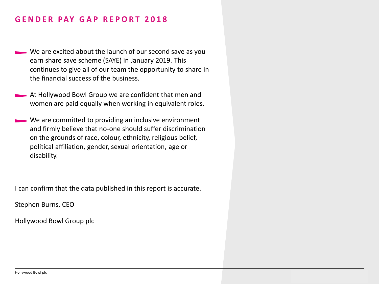#### **G E N D E R PAY G A P R E P O R T 2 0 1 8**

- We are excited about the launch of our second save as you earn share save scheme (SAYE) in January 2019. This continues to give all of our team the opportunity to share in the financial success of the business.
- At Hollywood Bowl Group we are confident that men and women are paid equally when working in equivalent roles.
- We are committed to providing an inclusive environment and firmly believe that no-one should suffer discrimination on the grounds of race, colour, ethnicity, religious belief, political affiliation, gender, sexual orientation, age or disability.

I can confirm that the data published in this report is accurate.

Stephen Burns, CEO

Hollywood Bowl Group plc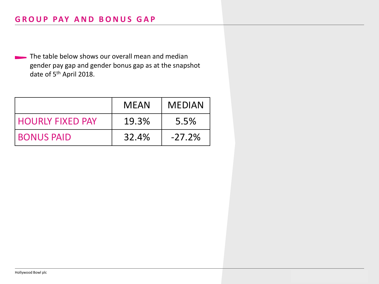The table below shows our overall mean and median gender pay gap and gender bonus gap as at the snapshot date of 5<sup>th</sup> April 2018.

|                         | <b>MEAN</b> | <b>MEDIAN</b> |
|-------------------------|-------------|---------------|
| <b>HOURLY FIXED PAY</b> | 19.3%       | 5.5%          |
| <b>BONUS PAID</b>       | 32.4%       | $-27.2%$      |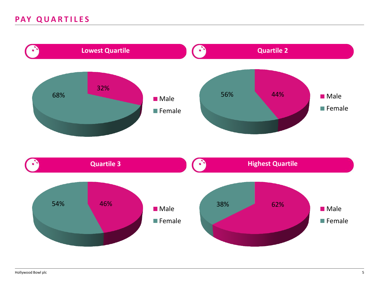## PAY QUARTILES

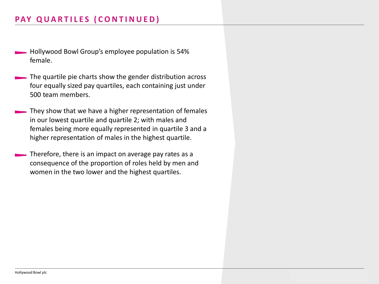# **PAY QUARTILES (CONTINUED)**

- Hollywood Bowl Group's employee population is 54% female.
- The quartile pie charts show the gender distribution across four equally sized pay quartiles, each containing just under 500 team members.
- They show that we have a higher representation of females in our lowest quartile and quartile 2; with males and females being more equally represented in quartile 3 and a higher representation of males in the highest quartile.
- Therefore, there is an impact on average pay rates as a consequence of the proportion of roles held by men and women in the two lower and the highest quartiles.